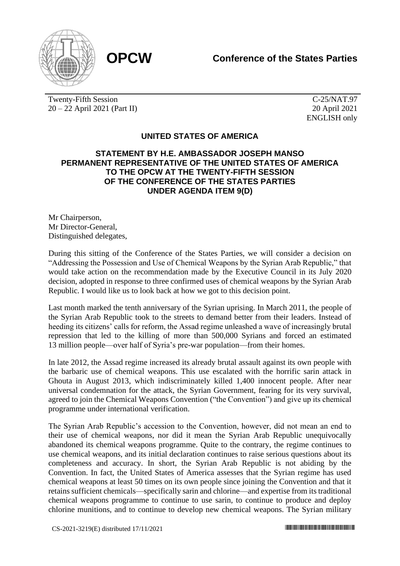

Twenty-Fifth Session 20 – 22 April 2021 (Part II)

C-25/NAT.97 20 April 2021 ENGLISH only

## **UNITED STATES OF AMERICA**

## **STATEMENT BY H.E. AMBASSADOR JOSEPH MANSO PERMANENT REPRESENTATIVE OF THE UNITED STATES OF AMERICA TO THE OPCW AT THE TWENTY-FIFTH SESSION OF THE CONFERENCE OF THE STATES PARTIES UNDER AGENDA ITEM 9(D)**

Mr Chairperson, Mr Director-General, Distinguished delegates,

During this sitting of the Conference of the States Parties, we will consider a decision on "Addressing the Possession and Use of Chemical Weapons by the Syrian Arab Republic," that would take action on the recommendation made by the Executive Council in its July 2020 decision, adopted in response to three confirmed uses of chemical weapons by the Syrian Arab Republic. I would like us to look back at how we got to this decision point.

Last month marked the tenth anniversary of the Syrian uprising. In March 2011, the people of the Syrian Arab Republic took to the streets to demand better from their leaders. Instead of heeding its citizens' calls for reform, the Assad regime unleashed a wave of increasingly brutal repression that led to the killing of more than 500,000 Syrians and forced an estimated 13 million people—over half of Syria's pre-war population—from their homes.

In late 2012, the Assad regime increased its already brutal assault against its own people with the barbaric use of chemical weapons. This use escalated with the horrific sarin attack in Ghouta in August 2013, which indiscriminately killed 1,400 innocent people. After near universal condemnation for the attack, the Syrian Government, fearing for its very survival, agreed to join the Chemical Weapons Convention ("the Convention") and give up its chemical programme under international verification.

The Syrian Arab Republic's accession to the Convention, however, did not mean an end to their use of chemical weapons, nor did it mean the Syrian Arab Republic unequivocally abandoned its chemical weapons programme. Quite to the contrary, the regime continues to use chemical weapons, and its initial declaration continues to raise serious questions about its completeness and accuracy. In short, the Syrian Arab Republic is not abiding by the Convention. In fact, the United States of America assesses that the Syrian regime has used chemical weapons at least 50 times on its own people since joining the Convention and that it retains sufficient chemicals—specifically sarin and chlorine—and expertise from its traditional chemical weapons programme to continue to use sarin, to continue to produce and deploy chlorine munitions, and to continue to develop new chemical weapons. The Syrian military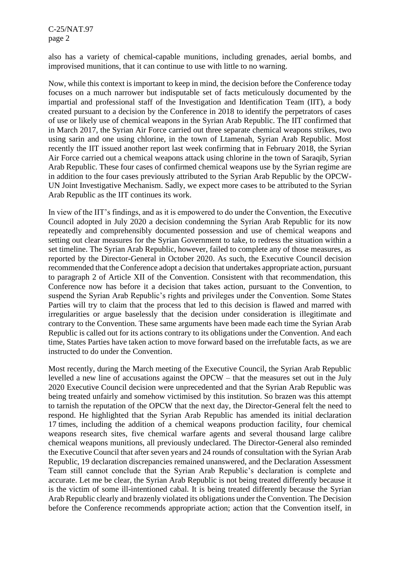C-25/NAT.97 page 2

also has a variety of chemical-capable munitions, including grenades, aerial bombs, and improvised munitions, that it can continue to use with little to no warning.

Now, while this context is important to keep in mind, the decision before the Conference today focuses on a much narrower but indisputable set of facts meticulously documented by the impartial and professional staff of the Investigation and Identification Team (IIT), a body created pursuant to a decision by the Conference in 2018 to identify the perpetrators of cases of use or likely use of chemical weapons in the Syrian Arab Republic. The IIT confirmed that in March 2017, the Syrian Air Force carried out three separate chemical weapons strikes, two using sarin and one using chlorine, in the town of Ltamenah, Syrian Arab Republic. Most recently the IIT issued another report last week confirming that in February 2018, the Syrian Air Force carried out a chemical weapons attack using chlorine in the town of Saraqib, Syrian Arab Republic. These four cases of confirmed chemical weapons use by the Syrian regime are in addition to the four cases previously attributed to the Syrian Arab Republic by the OPCW-UN Joint Investigative Mechanism. Sadly, we expect more cases to be attributed to the Syrian Arab Republic as the IIT continues its work.

In view of the IIT's findings, and as it is empowered to do under the Convention, the Executive Council adopted in July 2020 a decision condemning the Syrian Arab Republic for its now repeatedly and comprehensibly documented possession and use of chemical weapons and setting out clear measures for the Syrian Government to take, to redress the situation within a set timeline. The Syrian Arab Republic, however, failed to complete any of those measures, as reported by the Director-General in October 2020. As such, the Executive Council decision recommended that the Conference adopt a decision that undertakes appropriate action, pursuant to paragraph 2 of Article XII of the Convention. Consistent with that recommendation, this Conference now has before it a decision that takes action, pursuant to the Convention, to suspend the Syrian Arab Republic's rights and privileges under the Convention. Some States Parties will try to claim that the process that led to this decision is flawed and marred with irregularities or argue baselessly that the decision under consideration is illegitimate and contrary to the Convention. These same arguments have been made each time the Syrian Arab Republic is called out for its actions contrary to its obligations under the Convention. And each time, States Parties have taken action to move forward based on the irrefutable facts, as we are instructed to do under the Convention.

Most recently, during the March meeting of the Executive Council, the Syrian Arab Republic levelled a new line of accusations against the OPCW – that the measures set out in the July 2020 Executive Council decision were unprecedented and that the Syrian Arab Republic was being treated unfairly and somehow victimised by this institution. So brazen was this attempt to tarnish the reputation of the OPCW that the next day, the Director-General felt the need to respond. He highlighted that the Syrian Arab Republic has amended its initial declaration 17 times, including the addition of a chemical weapons production facility, four chemical weapons research sites, five chemical warfare agents and several thousand large calibre chemical weapons munitions, all previously undeclared. The Director-General also reminded the Executive Council that after seven years and 24 rounds of consultation with the Syrian Arab Republic, 19 declaration discrepancies remained unanswered, and the Declaration Assessment Team still cannot conclude that the Syrian Arab Republic's declaration is complete and accurate. Let me be clear, the Syrian Arab Republic is not being treated differently because it is the victim of some ill-intentioned cabal. It is being treated differently because the Syrian Arab Republic clearly and brazenly violated its obligations under the Convention. The Decision before the Conference recommends appropriate action; action that the Convention itself, in